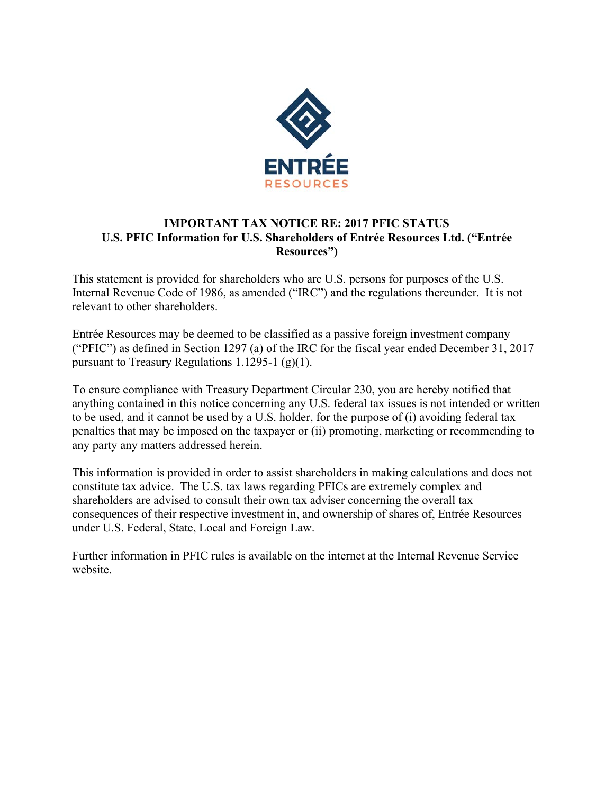

## **IMPORTANT TAX NOTICE RE: 2017 PFIC STATUS U.S. PFIC Information for U.S. Shareholders of Entrée Resources Ltd. ("Entrée Resources")**

This statement is provided for shareholders who are U.S. persons for purposes of the U.S. Internal Revenue Code of 1986, as amended ("IRC") and the regulations thereunder. It is not relevant to other shareholders.

Entrée Resources may be deemed to be classified as a passive foreign investment company ("PFIC") as defined in Section 1297 (a) of the IRC for the fiscal year ended December 31, 2017 pursuant to Treasury Regulations 1.1295-1  $(g)(1)$ .

To ensure compliance with Treasury Department Circular 230, you are hereby notified that anything contained in this notice concerning any U.S. federal tax issues is not intended or written to be used, and it cannot be used by a U.S. holder, for the purpose of (i) avoiding federal tax penalties that may be imposed on the taxpayer or (ii) promoting, marketing or recommending to any party any matters addressed herein.

This information is provided in order to assist shareholders in making calculations and does not constitute tax advice. The U.S. tax laws regarding PFICs are extremely complex and shareholders are advised to consult their own tax adviser concerning the overall tax consequences of their respective investment in, and ownership of shares of, Entrée Resources under U.S. Federal, State, Local and Foreign Law.

Further information in PFIC rules is available on the internet at the Internal Revenue Service website.